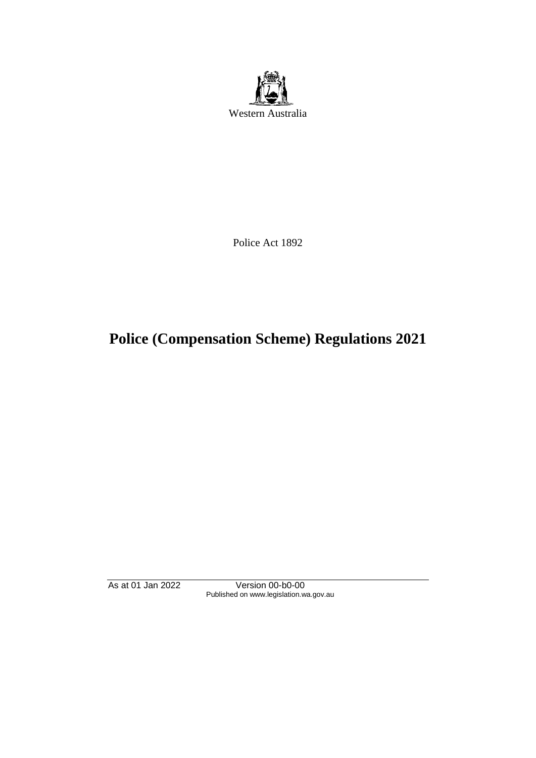

Police Act 1892

# **Police (Compensation Scheme) Regulations 2021**

As at 01 Jan 2022 Version 00-b0-00 Published on www.legislation.wa.gov.au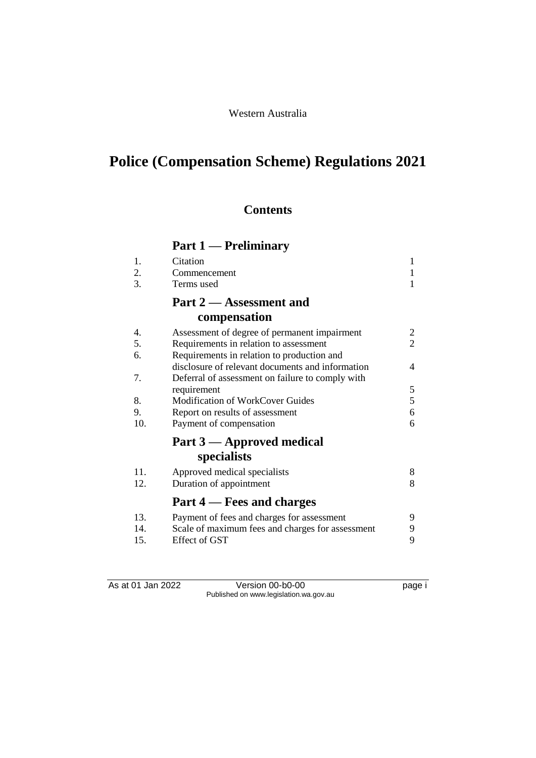# **Police (Compensation Scheme) Regulations 2021**

## **Contents**

## **Part 1 — Preliminary**

| 1.  | Citation                                         | 1 |  |  |
|-----|--------------------------------------------------|---|--|--|
| 2.  | Commencement                                     | 1 |  |  |
| 3.  | Terms used                                       | 1 |  |  |
|     | Part 2 – Assessment and                          |   |  |  |
|     | compensation                                     |   |  |  |
| 4.  | Assessment of degree of permanent impairment     | 2 |  |  |
| 5.  | Requirements in relation to assessment           |   |  |  |
| 6.  | Requirements in relation to production and       |   |  |  |
|     | disclosure of relevant documents and information | 4 |  |  |
| 7.  | Deferral of assessment on failure to comply with |   |  |  |
|     | requirement                                      | 5 |  |  |
| 8.  | <b>Modification of WorkCover Guides</b>          | 5 |  |  |
| 9.  | Report on results of assessment                  |   |  |  |
| 10. | Payment of compensation                          | 6 |  |  |
|     | Part 3 — Approved medical                        |   |  |  |
|     | specialists                                      |   |  |  |
| 11. | Approved medical specialists                     | 8 |  |  |
| 12. | Duration of appointment                          | 8 |  |  |
|     | Part 4 – Fees and charges                        |   |  |  |
| 13. | Payment of fees and charges for assessment       | 9 |  |  |
| 14. | Scale of maximum fees and charges for assessment | 9 |  |  |
| 15. | Effect of GST                                    | 9 |  |  |

As at 01 Jan 2022 Version 00-b0-00 Page i Published on www.legislation.wa.gov.au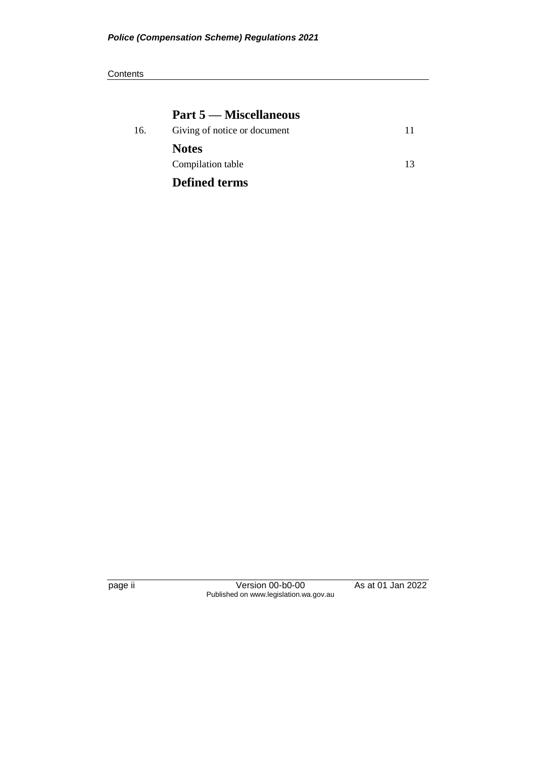### **Part 5 — Miscellaneous**

| 16. | Giving of notice or document |    |
|-----|------------------------------|----|
|     | <b>Notes</b>                 |    |
|     | Compilation table            | 13 |
|     | <b>Defined terms</b>         |    |

page ii Version 00-b0-00 As at 01 Jan 2022 Published on www.legislation.wa.gov.au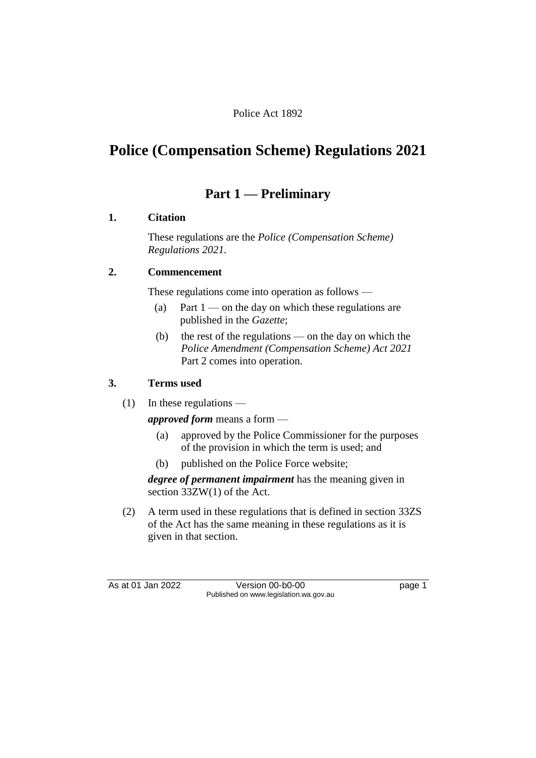#### Police Act 1892

## **Police (Compensation Scheme) Regulations 2021**

## **Part 1 — Preliminary**

#### **1. Citation**

These regulations are the *Police (Compensation Scheme) Regulations 2021*.

#### **2. Commencement**

These regulations come into operation as follows —

- (a) Part  $1$  on the day on which these regulations are published in the *Gazette*;
- (b) the rest of the regulations on the day on which the *Police Amendment (Compensation Scheme) Act 2021*  Part 2 comes into operation.

#### **3. Terms used**

(1) In these regulations —

*approved form* means a form —

- (a) approved by the Police Commissioner for the purposes of the provision in which the term is used; and
- (b) published on the Police Force website;

*degree of permanent impairment* has the meaning given in section 33ZW(1) of the Act.

(2) A term used in these regulations that is defined in section 33ZS of the Act has the same meaning in these regulations as it is given in that section.

As at 01 Jan 2022 Version 00-b0-00 page 1 Published on www.legislation.wa.gov.au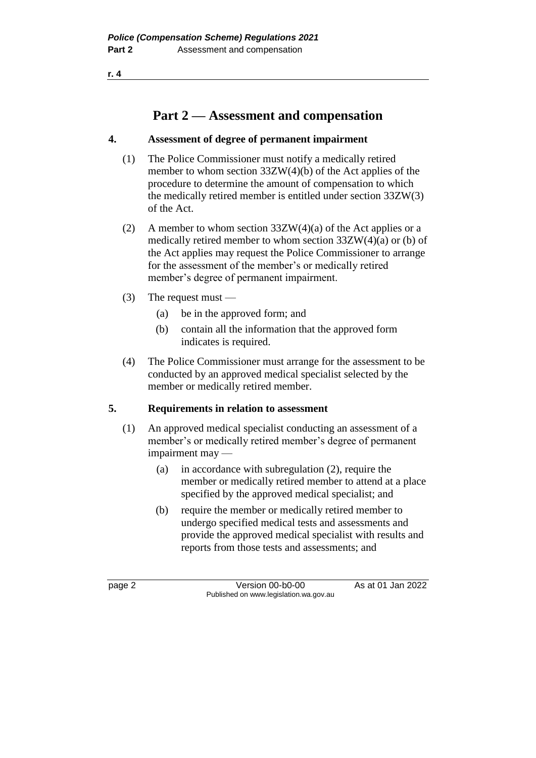**r. 4**

## **Part 2 — Assessment and compensation**

#### **4. Assessment of degree of permanent impairment**

- (1) The Police Commissioner must notify a medically retired member to whom section 33ZW(4)(b) of the Act applies of the procedure to determine the amount of compensation to which the medically retired member is entitled under section 33ZW(3) of the Act.
- (2) A member to whom section  $33ZW(4)(a)$  of the Act applies or a medically retired member to whom section 33ZW(4)(a) or (b) of the Act applies may request the Police Commissioner to arrange for the assessment of the member's or medically retired member's degree of permanent impairment.
- (3) The request must
	- (a) be in the approved form; and
	- (b) contain all the information that the approved form indicates is required.
- (4) The Police Commissioner must arrange for the assessment to be conducted by an approved medical specialist selected by the member or medically retired member.

### **5. Requirements in relation to assessment**

- (1) An approved medical specialist conducting an assessment of a member's or medically retired member's degree of permanent impairment may —
	- (a) in accordance with subregulation (2), require the member or medically retired member to attend at a place specified by the approved medical specialist; and
	- (b) require the member or medically retired member to undergo specified medical tests and assessments and provide the approved medical specialist with results and reports from those tests and assessments; and

page 2 Version 00-b0-00 As at 01 Jan 2022 Published on www.legislation.wa.gov.au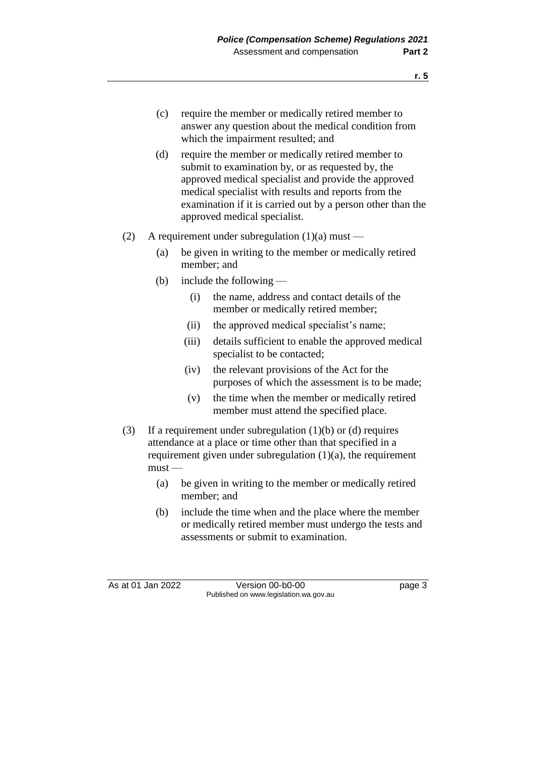- (c) require the member or medically retired member to answer any question about the medical condition from which the impairment resulted; and
- (d) require the member or medically retired member to submit to examination by, or as requested by, the approved medical specialist and provide the approved medical specialist with results and reports from the examination if it is carried out by a person other than the approved medical specialist.
- (2) A requirement under subregulation  $(1)(a)$  must
	- (a) be given in writing to the member or medically retired member; and
	- (b) include the following
		- (i) the name, address and contact details of the member or medically retired member;
		- (ii) the approved medical specialist's name;
		- (iii) details sufficient to enable the approved medical specialist to be contacted;
		- (iv) the relevant provisions of the Act for the purposes of which the assessment is to be made;
		- (v) the time when the member or medically retired member must attend the specified place.
- (3) If a requirement under subregulation  $(1)(b)$  or  $(d)$  requires attendance at a place or time other than that specified in a requirement given under subregulation (1)(a), the requirement  $must -$ 
	- (a) be given in writing to the member or medically retired member; and
	- (b) include the time when and the place where the member or medically retired member must undergo the tests and assessments or submit to examination.

As at 01 Jan 2022 Version 00-b0-00 Page 3 Published on www.legislation.wa.gov.au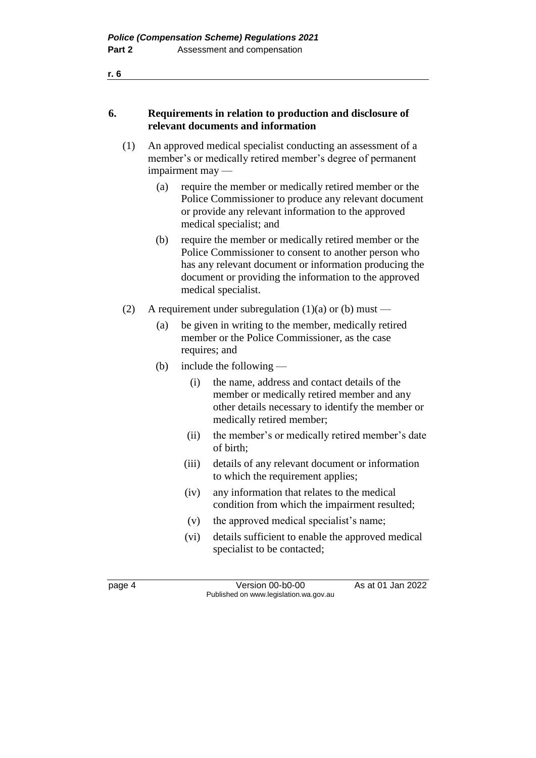#### **6. Requirements in relation to production and disclosure of relevant documents and information**

- (1) An approved medical specialist conducting an assessment of a member's or medically retired member's degree of permanent impairment may —
	- (a) require the member or medically retired member or the Police Commissioner to produce any relevant document or provide any relevant information to the approved medical specialist; and
	- (b) require the member or medically retired member or the Police Commissioner to consent to another person who has any relevant document or information producing the document or providing the information to the approved medical specialist.
- (2) A requirement under subregulation (1)(a) or (b) must
	- (a) be given in writing to the member, medically retired member or the Police Commissioner, as the case requires; and
	- (b) include the following
		- (i) the name, address and contact details of the member or medically retired member and any other details necessary to identify the member or medically retired member;
		- (ii) the member's or medically retired member's date of birth;
		- (iii) details of any relevant document or information to which the requirement applies;
		- (iv) any information that relates to the medical condition from which the impairment resulted;
		- (v) the approved medical specialist's name;
		- (vi) details sufficient to enable the approved medical specialist to be contacted;

page 4 Version 00-b0-00 As at 01 Jan 2022 Published on www.legislation.wa.gov.au

**r. 6**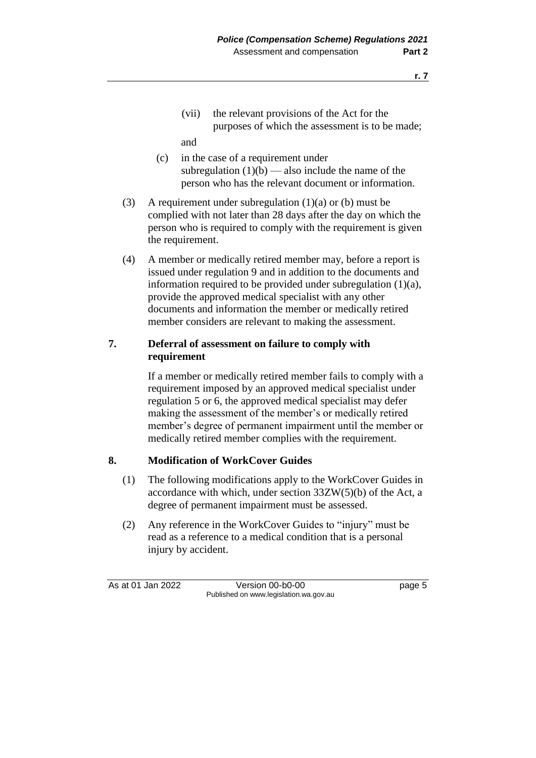(vii) the relevant provisions of the Act for the purposes of which the assessment is to be made;

and

- (c) in the case of a requirement under subregulation  $(1)(b)$  — also include the name of the person who has the relevant document or information.
- (3) A requirement under subregulation (1)(a) or (b) must be complied with not later than 28 days after the day on which the person who is required to comply with the requirement is given the requirement.
- (4) A member or medically retired member may, before a report is issued under regulation 9 and in addition to the documents and information required to be provided under subregulation (1)(a), provide the approved medical specialist with any other documents and information the member or medically retired member considers are relevant to making the assessment.

#### **7. Deferral of assessment on failure to comply with requirement**

If a member or medically retired member fails to comply with a requirement imposed by an approved medical specialist under regulation 5 or 6, the approved medical specialist may defer making the assessment of the member's or medically retired member's degree of permanent impairment until the member or medically retired member complies with the requirement.

### **8. Modification of WorkCover Guides**

- (1) The following modifications apply to the WorkCover Guides in accordance with which, under section 33ZW(5)(b) of the Act, a degree of permanent impairment must be assessed.
- (2) Any reference in the WorkCover Guides to "injury" must be read as a reference to a medical condition that is a personal injury by accident.

As at 01 Jan 2022 Version 00-b0-00 page 5 Published on www.legislation.wa.gov.au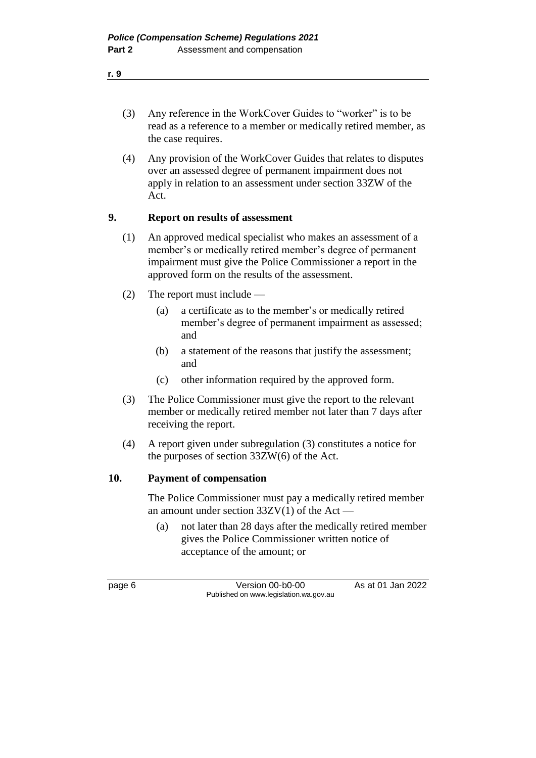- (3) Any reference in the WorkCover Guides to "worker" is to be read as a reference to a member or medically retired member, as the case requires.
- (4) Any provision of the WorkCover Guides that relates to disputes over an assessed degree of permanent impairment does not apply in relation to an assessment under section 33ZW of the Act.

#### **9. Report on results of assessment**

- (1) An approved medical specialist who makes an assessment of a member's or medically retired member's degree of permanent impairment must give the Police Commissioner a report in the approved form on the results of the assessment.
- (2) The report must include
	- (a) a certificate as to the member's or medically retired member's degree of permanent impairment as assessed; and
	- (b) a statement of the reasons that justify the assessment; and
	- (c) other information required by the approved form.
- (3) The Police Commissioner must give the report to the relevant member or medically retired member not later than 7 days after receiving the report.
- (4) A report given under subregulation (3) constitutes a notice for the purposes of section 33ZW(6) of the Act.

#### **10. Payment of compensation**

The Police Commissioner must pay a medically retired member an amount under section  $33ZV(1)$  of the Act —

(a) not later than 28 days after the medically retired member gives the Police Commissioner written notice of acceptance of the amount; or

page 6 Version 00-b0-00 As at 01 Jan 2022 Published on www.legislation.wa.gov.au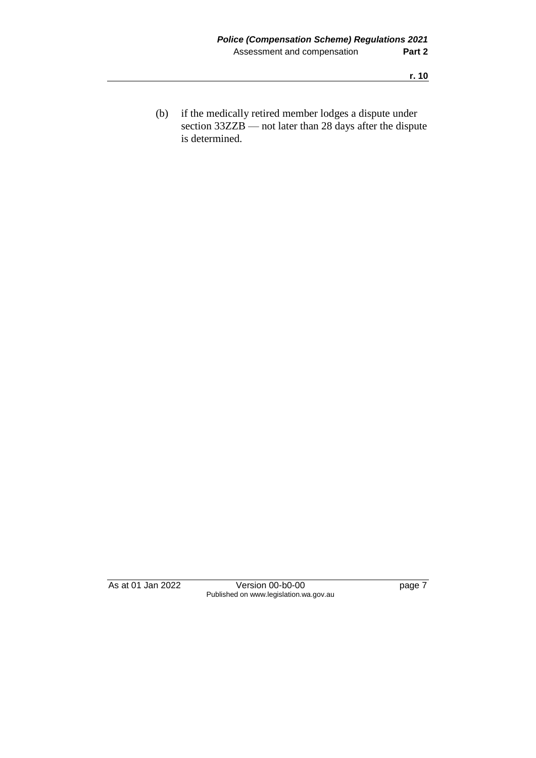(b) if the medically retired member lodges a dispute under section 33ZZB — not later than 28 days after the dispute is determined.

As at 01 Jan 2022 Version 00-b0-00 page 7 Published on www.legislation.wa.gov.au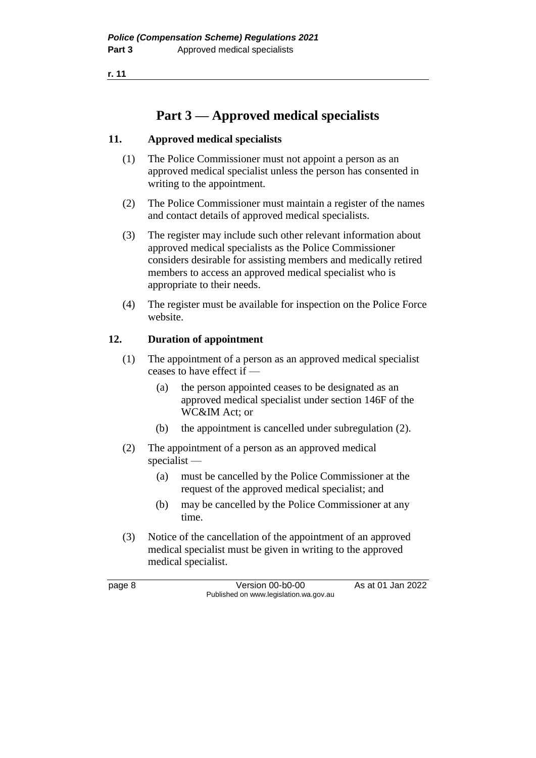**r. 11**

## **Part 3 — Approved medical specialists**

#### **11. Approved medical specialists**

- (1) The Police Commissioner must not appoint a person as an approved medical specialist unless the person has consented in writing to the appointment.
- (2) The Police Commissioner must maintain a register of the names and contact details of approved medical specialists.
- (3) The register may include such other relevant information about approved medical specialists as the Police Commissioner considers desirable for assisting members and medically retired members to access an approved medical specialist who is appropriate to their needs.
- (4) The register must be available for inspection on the Police Force website.

#### **12. Duration of appointment**

- (1) The appointment of a person as an approved medical specialist ceases to have effect if —
	- (a) the person appointed ceases to be designated as an approved medical specialist under section 146F of the WC&IM Act; or
	- (b) the appointment is cancelled under subregulation (2).
- (2) The appointment of a person as an approved medical specialist —
	- (a) must be cancelled by the Police Commissioner at the request of the approved medical specialist; and
	- (b) may be cancelled by the Police Commissioner at any time.
- (3) Notice of the cancellation of the appointment of an approved medical specialist must be given in writing to the approved medical specialist.

page 8 Version 00-b0-00 As at 01 Jan 2022 Published on www.legislation.wa.gov.au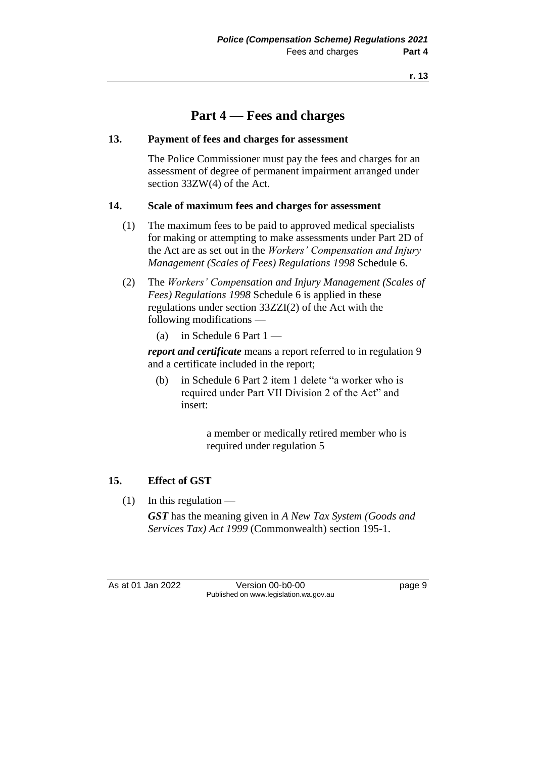## **Part 4 — Fees and charges**

#### **13. Payment of fees and charges for assessment**

The Police Commissioner must pay the fees and charges for an assessment of degree of permanent impairment arranged under section 33ZW(4) of the Act.

#### **14. Scale of maximum fees and charges for assessment**

- (1) The maximum fees to be paid to approved medical specialists for making or attempting to make assessments under Part 2D of the Act are as set out in the *Workers' Compensation and Injury Management (Scales of Fees) Regulations 1998* Schedule 6.
- (2) The *Workers' Compensation and Injury Management (Scales of Fees) Regulations 1998* Schedule 6 is applied in these regulations under section 33ZZI(2) of the Act with the following modifications —
	- (a) in Schedule 6 Part  $1 -$

*report and certificate* means a report referred to in regulation 9 and a certificate included in the report;

(b) in Schedule 6 Part 2 item 1 delete "a worker who is required under Part VII Division 2 of the Act" and insert:

> a member or medically retired member who is required under regulation 5

#### **15. Effect of GST**

 $(1)$  In this regulation —

*GST* has the meaning given in *A New Tax System (Goods and Services Tax) Act 1999* (Commonwealth) section 195-1.

As at 01 Jan 2022 Version 00-b0-00 Page 9 Published on www.legislation.wa.gov.au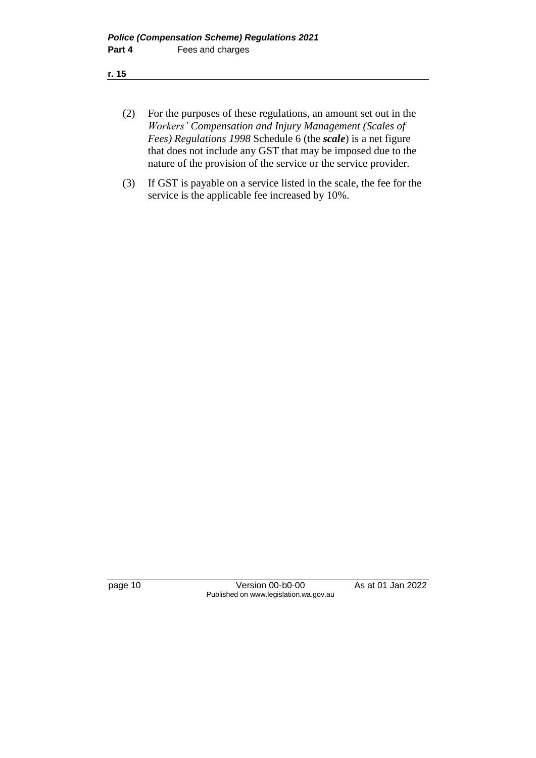- (2) For the purposes of these regulations, an amount set out in the *Workers' Compensation and Injury Management (Scales of Fees) Regulations 1998* Schedule 6 (the *scale*) is a net figure that does not include any GST that may be imposed due to the nature of the provision of the service or the service provider.
- (3) If GST is payable on a service listed in the scale, the fee for the service is the applicable fee increased by 10%.

page 10 Version 00-b0-00 As at 01 Jan 2022 Published on www.legislation.wa.gov.au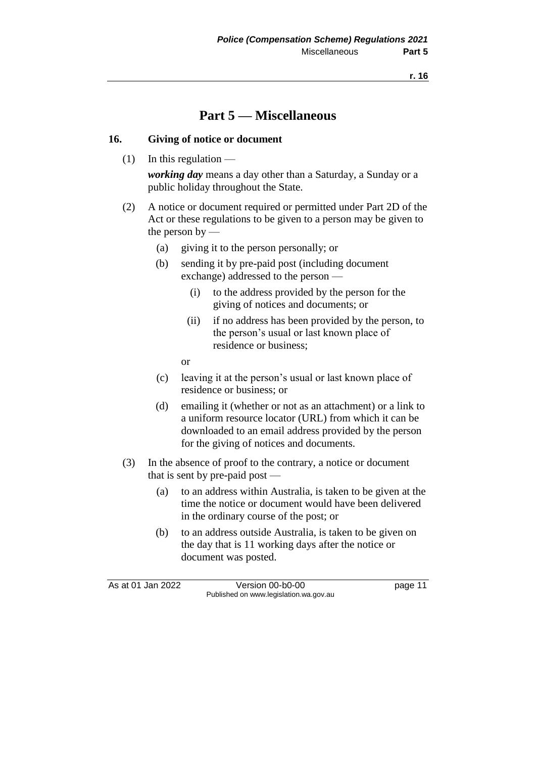## **Part 5 — Miscellaneous**

#### **16. Giving of notice or document**

 $(1)$  In this regulation —

*working day* means a day other than a Saturday, a Sunday or a public holiday throughout the State.

- (2) A notice or document required or permitted under Part 2D of the Act or these regulations to be given to a person may be given to the person by —
	- (a) giving it to the person personally; or
	- (b) sending it by pre-paid post (including document exchange) addressed to the person —
		- (i) to the address provided by the person for the giving of notices and documents; or
		- (ii) if no address has been provided by the person, to the person's usual or last known place of residence or business;

or

- (c) leaving it at the person's usual or last known place of residence or business; or
- (d) emailing it (whether or not as an attachment) or a link to a uniform resource locator (URL) from which it can be downloaded to an email address provided by the person for the giving of notices and documents.
- (3) In the absence of proof to the contrary, a notice or document that is sent by pre-paid post —
	- (a) to an address within Australia, is taken to be given at the time the notice or document would have been delivered in the ordinary course of the post; or
	- (b) to an address outside Australia, is taken to be given on the day that is 11 working days after the notice or document was posted.

As at 01 Jan 2022 Version 00-b0-00 page 11 Published on www.legislation.wa.gov.au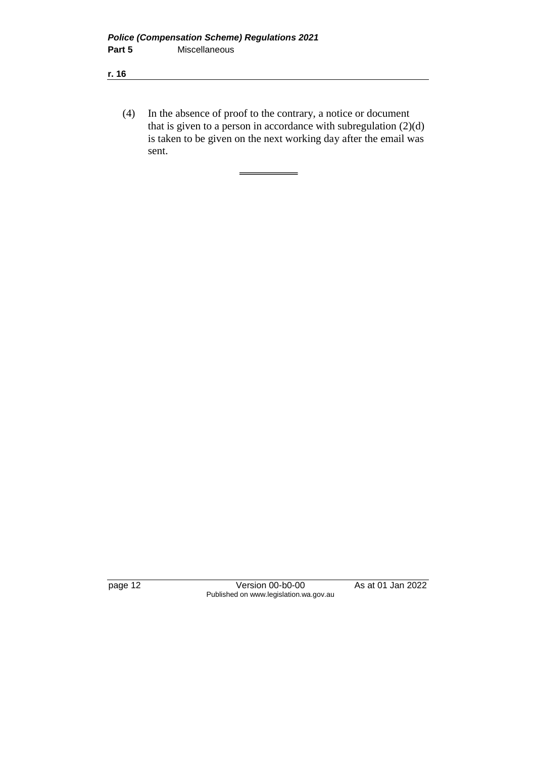**r. 16**

(4) In the absence of proof to the contrary, a notice or document that is given to a person in accordance with subregulation  $(2)(d)$ is taken to be given on the next working day after the email was sent.

 $=$ 

page 12 Version 00-b0-00 As at 01 Jan 2022 Published on www.legislation.wa.gov.au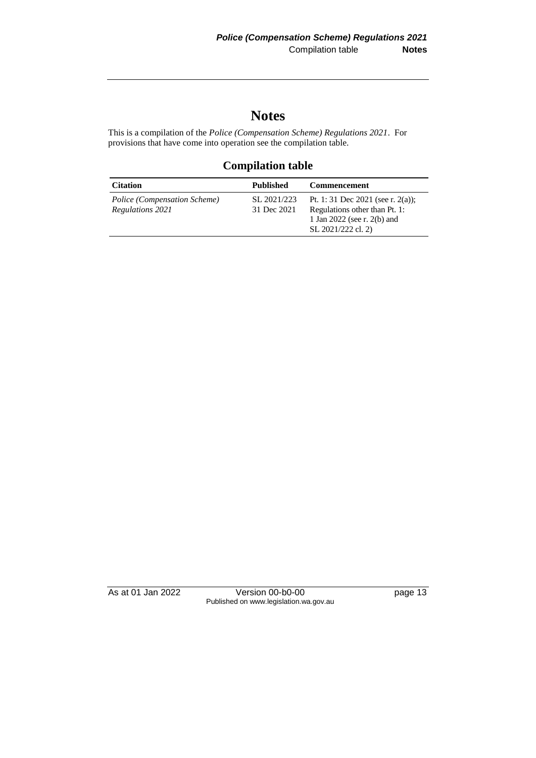## **Notes**

This is a compilation of the *Police (Compensation Scheme) Regulations 2021*. For provisions that have come into operation see the compilation table.

### **Compilation table**

| <b>Citation</b>                                  | <b>Published</b>           | <b>Commencement</b>                                                                                                     |
|--------------------------------------------------|----------------------------|-------------------------------------------------------------------------------------------------------------------------|
| Police (Compensation Scheme)<br>Regulations 2021 | SL 2021/223<br>31 Dec 2021 | Pt. 1: 31 Dec 2021 (see r. 2(a));<br>Regulations other than Pt. 1:<br>1 Jan 2022 (see r. 2(b) and<br>SL 2021/222 cl. 2) |

As at 01 Jan 2022 Version 00-b0-00 page 13 Published on www.legislation.wa.gov.au